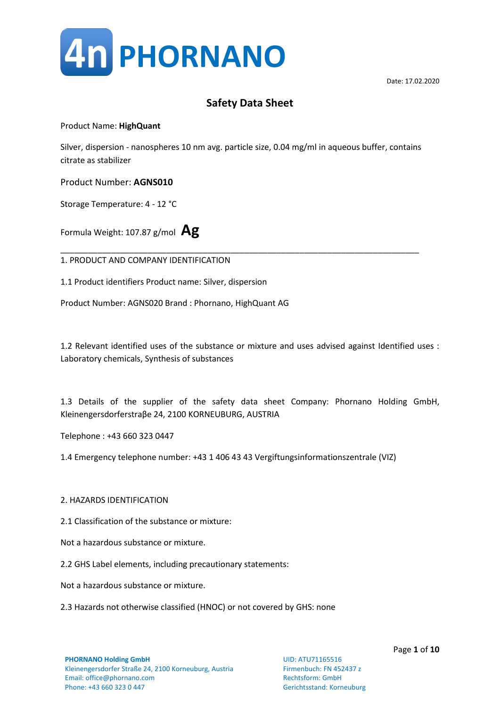

Product Name: **HighQuant**

Silver, dispersion - nanospheres 10 nm avg. particle size, 0.04 mg/ml in aqueous buffer, contains citrate as stabilizer

Product Number: **AGNS010**

Storage Temperature: 4 - 12 °C

Formula Weight: 107.87 g/mol **Ag**

\_\_\_\_\_\_\_\_\_\_\_\_\_\_\_\_\_\_\_\_\_\_\_\_\_\_\_\_\_\_\_\_\_\_\_\_\_\_\_\_\_\_\_\_\_\_\_\_\_\_\_\_\_\_\_\_\_\_\_\_\_\_\_\_\_\_\_\_\_\_\_\_\_\_\_\_\_\_ 1. PRODUCT AND COMPANY IDENTIFICATION

1.1 Product identifiers Product name: Silver, dispersion

Product Number: AGNS020 Brand : Phornano, HighQuant AG

1.2 Relevant identified uses of the substance or mixture and uses advised against Identified uses : Laboratory chemicals, Synthesis of substances

1.3 Details of the supplier of the safety data sheet Company: Phornano Holding GmbH, Kleinengersdorferstraβe 24, 2100 KORNEUBURG, AUSTRIA

Telephone : +43 660 323 0447

1.4 Emergency telephone number: +43 1 406 43 43 Vergiftungsinformationszentrale (VIZ)

#### 2. HAZARDS IDENTIFICATION

2.1 Classification of the substance or mixture:

Not a hazardous substance or mixture.

2.2 GHS Label elements, including precautionary statements:

Not a hazardous substance or mixture.

2.3 Hazards not otherwise classified (HNOC) or not covered by GHS: none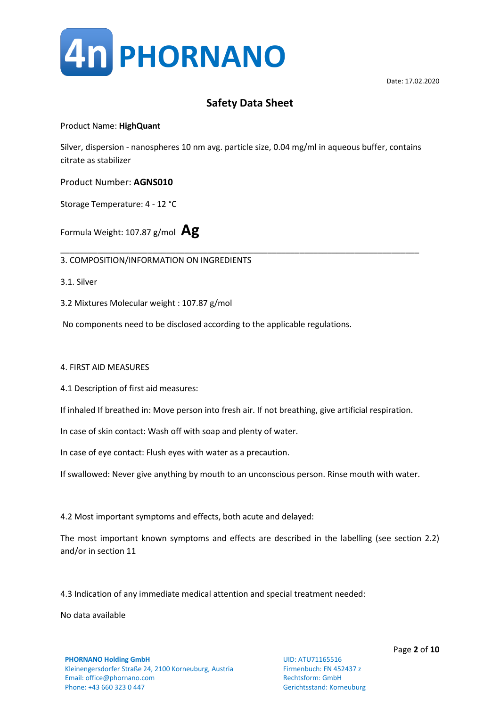

### Product Name: **HighQuant**

Silver, dispersion - nanospheres 10 nm avg. particle size, 0.04 mg/ml in aqueous buffer, contains citrate as stabilizer

\_\_\_\_\_\_\_\_\_\_\_\_\_\_\_\_\_\_\_\_\_\_\_\_\_\_\_\_\_\_\_\_\_\_\_\_\_\_\_\_\_\_\_\_\_\_\_\_\_\_\_\_\_\_\_\_\_\_\_\_\_\_\_\_\_\_\_\_\_\_\_\_\_\_\_\_\_\_

Product Number: **AGNS010**

Storage Temperature: 4 - 12 °C

Formula Weight: 107.87 g/mol **Ag**

3. COMPOSITION/INFORMATION ON INGREDIENTS

3.1. Silver

3.2 Mixtures Molecular weight : 107.87 g/mol

No components need to be disclosed according to the applicable regulations.

#### 4. FIRST AID MEASURES

4.1 Description of first aid measures:

If inhaled If breathed in: Move person into fresh air. If not breathing, give artificial respiration.

In case of skin contact: Wash off with soap and plenty of water.

In case of eye contact: Flush eyes with water as a precaution.

If swallowed: Never give anything by mouth to an unconscious person. Rinse mouth with water.

4.2 Most important symptoms and effects, both acute and delayed:

The most important known symptoms and effects are described in the labelling (see section 2.2) and/or in section 11

4.3 Indication of any immediate medical attention and special treatment needed:

No data available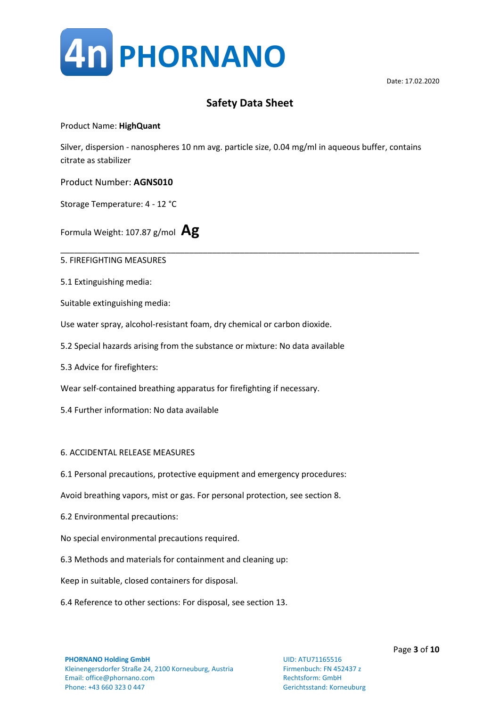

### Product Name: **HighQuant**

Silver, dispersion - nanospheres 10 nm avg. particle size, 0.04 mg/ml in aqueous buffer, contains citrate as stabilizer

\_\_\_\_\_\_\_\_\_\_\_\_\_\_\_\_\_\_\_\_\_\_\_\_\_\_\_\_\_\_\_\_\_\_\_\_\_\_\_\_\_\_\_\_\_\_\_\_\_\_\_\_\_\_\_\_\_\_\_\_\_\_\_\_\_\_\_\_\_\_\_\_\_\_\_\_\_\_

Product Number: **AGNS010**

Storage Temperature: 4 - 12 °C

Formula Weight: 107.87 g/mol **Ag**

5. FIREFIGHTING MEASURES

5.1 Extinguishing media:

Suitable extinguishing media:

Use water spray, alcohol-resistant foam, dry chemical or carbon dioxide.

- 5.2 Special hazards arising from the substance or mixture: No data available
- 5.3 Advice for firefighters:

Wear self-contained breathing apparatus for firefighting if necessary.

5.4 Further information: No data available

#### 6. ACCIDENTAL RELEASE MEASURES

6.1 Personal precautions, protective equipment and emergency procedures:

Avoid breathing vapors, mist or gas. For personal protection, see section 8.

- 6.2 Environmental precautions:
- No special environmental precautions required.
- 6.3 Methods and materials for containment and cleaning up:

Keep in suitable, closed containers for disposal.

6.4 Reference to other sections: For disposal, see section 13.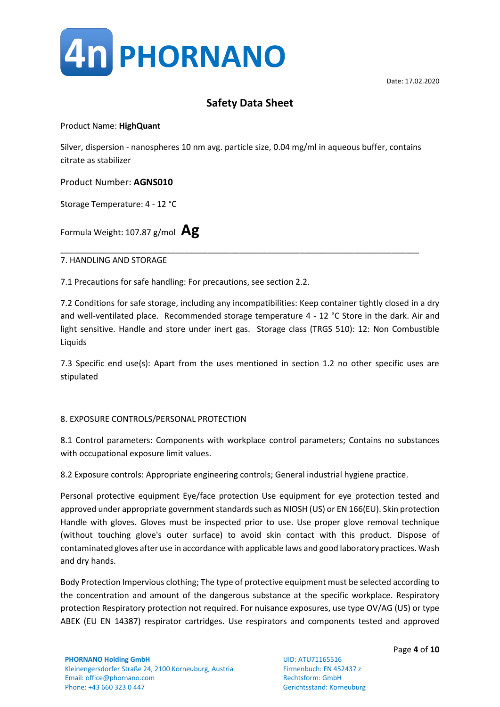

### Product Name: **HighQuant**

Silver, dispersion - nanospheres 10 nm avg. particle size, 0.04 mg/ml in aqueous buffer, contains citrate as stabilizer

Product Number: **AGNS010**

Storage Temperature: 4 - 12 °C

Formula Weight: 107.87 g/mol **Ag**

\_\_\_\_\_\_\_\_\_\_\_\_\_\_\_\_\_\_\_\_\_\_\_\_\_\_\_\_\_\_\_\_\_\_\_\_\_\_\_\_\_\_\_\_\_\_\_\_\_\_\_\_\_\_\_\_\_\_\_\_\_\_\_\_\_\_\_\_\_\_\_\_\_\_\_\_\_\_ 7. HANDLING AND STORAGE

7.1 Precautions for safe handling: For precautions, see section 2.2.

7.2 Conditions for safe storage, including any incompatibilities: Keep container tightly closed in a dry and well-ventilated place. Recommended storage temperature 4 - 12 °C Store in the dark. Air and light sensitive. Handle and store under inert gas. Storage class (TRGS 510): 12: Non Combustible Liquids

7.3 Specific end use(s): Apart from the uses mentioned in section 1.2 no other specific uses are stipulated

### 8. EXPOSURE CONTROLS/PERSONAL PROTECTION

8.1 Control parameters: Components with workplace control parameters; Contains no substances with occupational exposure limit values.

8.2 Exposure controls: Appropriate engineering controls; General industrial hygiene practice.

Personal protective equipment Eye/face protection Use equipment for eye protection tested and approved under appropriate government standards such as NIOSH (US) or EN 166(EU). Skin protection Handle with gloves. Gloves must be inspected prior to use. Use proper glove removal technique (without touching glove's outer surface) to avoid skin contact with this product. Dispose of contaminated gloves after use in accordance with applicable laws and good laboratory practices. Wash and dry hands.

Body Protection Impervious clothing; The type of protective equipment must be selected according to the concentration and amount of the dangerous substance at the specific workplace. Respiratory protection Respiratory protection not required. For nuisance exposures, use type OV/AG (US) or type ABEK (EU EN 14387) respirator cartridges. Use respirators and components tested and approved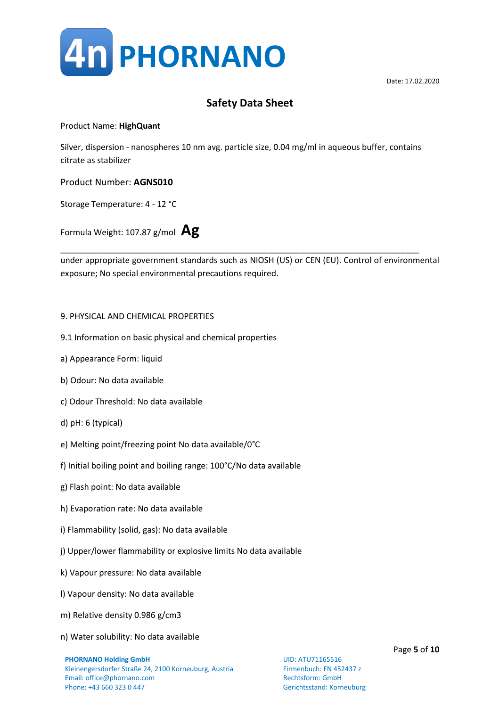

### Product Name: **HighQuant**

Silver, dispersion - nanospheres 10 nm avg. particle size, 0.04 mg/ml in aqueous buffer, contains citrate as stabilizer

Product Number: **AGNS010**

Storage Temperature: 4 - 12 °C

Formula Weight: 107.87 g/mol **Ag**

under appropriate government standards such as NIOSH (US) or CEN (EU). Control of environmental exposure; No special environmental precautions required.

\_\_\_\_\_\_\_\_\_\_\_\_\_\_\_\_\_\_\_\_\_\_\_\_\_\_\_\_\_\_\_\_\_\_\_\_\_\_\_\_\_\_\_\_\_\_\_\_\_\_\_\_\_\_\_\_\_\_\_\_\_\_\_\_\_\_\_\_\_\_\_\_\_\_\_\_\_\_

### 9. PHYSICAL AND CHEMICAL PROPERTIES

- 9.1 Information on basic physical and chemical properties
- a) Appearance Form: liquid
- b) Odour: No data available
- c) Odour Threshold: No data available
- d) pH: 6 (typical)
- e) Melting point/freezing point No data available/0°C
- f) Initial boiling point and boiling range: 100°C/No data available
- g) Flash point: No data available
- h) Evaporation rate: No data available
- i) Flammability (solid, gas): No data available
- j) Upper/lower flammability or explosive limits No data available
- k) Vapour pressure: No data available
- l) Vapour density: No data available
- m) Relative density 0.986 g/cm3
- n) Water solubility: No data available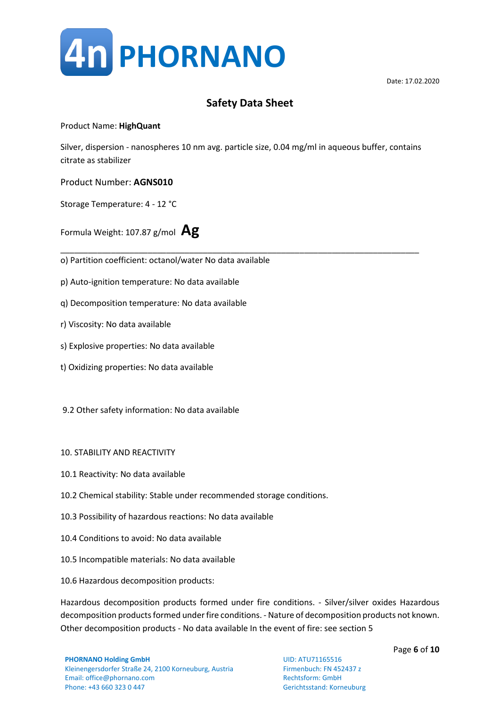

### Product Name: **HighQuant**

Silver, dispersion - nanospheres 10 nm avg. particle size, 0.04 mg/ml in aqueous buffer, contains citrate as stabilizer

### Product Number: **AGNS010**

Storage Temperature: 4 - 12 °C

Formula Weight: 107.87 g/mol **Ag**

\_\_\_\_\_\_\_\_\_\_\_\_\_\_\_\_\_\_\_\_\_\_\_\_\_\_\_\_\_\_\_\_\_\_\_\_\_\_\_\_\_\_\_\_\_\_\_\_\_\_\_\_\_\_\_\_\_\_\_\_\_\_\_\_\_\_\_\_\_\_\_\_\_\_\_\_\_\_ o) Partition coefficient: octanol/water No data available

- p) Auto-ignition temperature: No data available
- q) Decomposition temperature: No data available
- r) Viscosity: No data available
- s) Explosive properties: No data available
- t) Oxidizing properties: No data available
- 9.2 Other safety information: No data available
- 10. STABILITY AND REACTIVITY
- 10.1 Reactivity: No data available
- 10.2 Chemical stability: Stable under recommended storage conditions.
- 10.3 Possibility of hazardous reactions: No data available
- 10.4 Conditions to avoid: No data available
- 10.5 Incompatible materials: No data available
- 10.6 Hazardous decomposition products:

Hazardous decomposition products formed under fire conditions. - Silver/silver oxides Hazardous decomposition products formed under fire conditions. - Nature of decomposition products not known. Other decomposition products - No data available In the event of fire: see section 5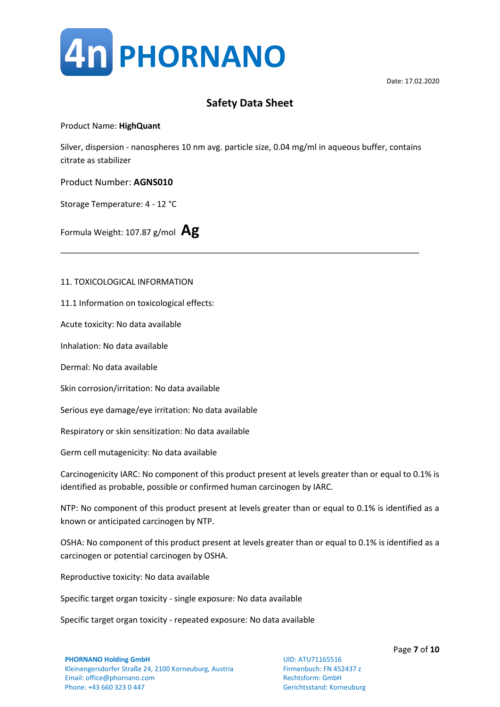

### Product Name: **HighQuant**

Silver, dispersion - nanospheres 10 nm avg. particle size, 0.04 mg/ml in aqueous buffer, contains citrate as stabilizer

\_\_\_\_\_\_\_\_\_\_\_\_\_\_\_\_\_\_\_\_\_\_\_\_\_\_\_\_\_\_\_\_\_\_\_\_\_\_\_\_\_\_\_\_\_\_\_\_\_\_\_\_\_\_\_\_\_\_\_\_\_\_\_\_\_\_\_\_\_\_\_\_\_\_\_\_\_\_

Product Number: **AGNS010**

Storage Temperature: 4 - 12 °C

Formula Weight: 107.87 g/mol **Ag**

#### 11. TOXICOLOGICAL INFORMATION

11.1 Information on toxicological effects:

Acute toxicity: No data available

Inhalation: No data available

Dermal: No data available

Skin corrosion/irritation: No data available

Serious eye damage/eye irritation: No data available

Respiratory or skin sensitization: No data available

Germ cell mutagenicity: No data available

Carcinogenicity IARC: No component of this product present at levels greater than or equal to 0.1% is identified as probable, possible or confirmed human carcinogen by IARC.

NTP: No component of this product present at levels greater than or equal to 0.1% is identified as a known or anticipated carcinogen by NTP.

OSHA: No component of this product present at levels greater than or equal to 0.1% is identified as a carcinogen or potential carcinogen by OSHA.

Reproductive toxicity: No data available

Specific target organ toxicity - single exposure: No data available

Specific target organ toxicity - repeated exposure: No data available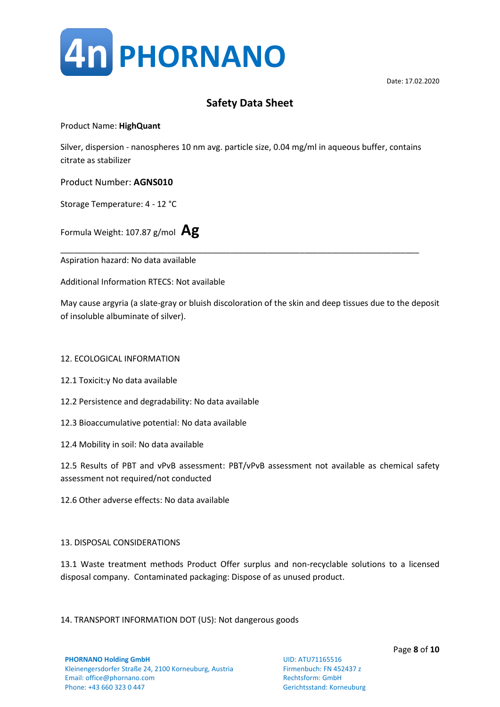

### Product Name: **HighQuant**

Silver, dispersion - nanospheres 10 nm avg. particle size, 0.04 mg/ml in aqueous buffer, contains citrate as stabilizer

Product Number: **AGNS010**

Storage Temperature: 4 - 12 °C

Formula Weight: 107.87 g/mol **Ag**

\_\_\_\_\_\_\_\_\_\_\_\_\_\_\_\_\_\_\_\_\_\_\_\_\_\_\_\_\_\_\_\_\_\_\_\_\_\_\_\_\_\_\_\_\_\_\_\_\_\_\_\_\_\_\_\_\_\_\_\_\_\_\_\_\_\_\_\_\_\_\_\_\_\_\_\_\_\_ Aspiration hazard: No data available

Additional Information RTECS: Not available

May cause argyria (a slate-gray or bluish discoloration of the skin and deep tissues due to the deposit of insoluble albuminate of silver).

### 12. ECOLOGICAL INFORMATION

- 12.1 Toxicit:y No data available
- 12.2 Persistence and degradability: No data available
- 12.3 Bioaccumulative potential: No data available
- 12.4 Mobility in soil: No data available

12.5 Results of PBT and vPvB assessment: PBT/vPvB assessment not available as chemical safety assessment not required/not conducted

12.6 Other adverse effects: No data available

#### 13. DISPOSAL CONSIDERATIONS

13.1 Waste treatment methods Product Offer surplus and non-recyclable solutions to a licensed disposal company. Contaminated packaging: Dispose of as unused product.

14. TRANSPORT INFORMATION DOT (US): Not dangerous goods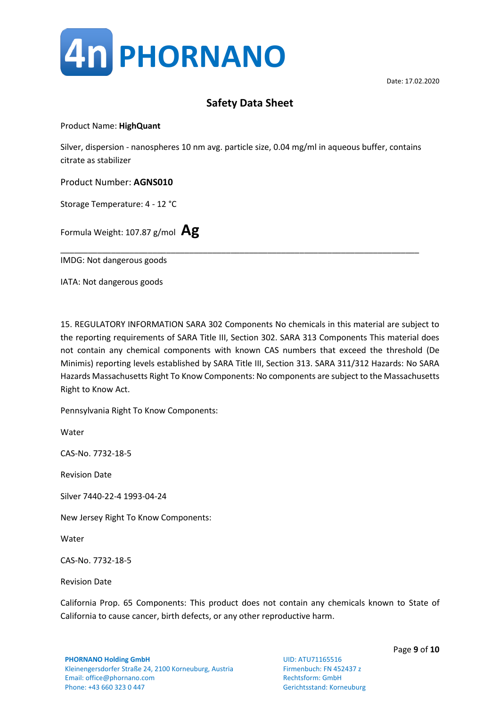

Product Name: **HighQuant**

Silver, dispersion - nanospheres 10 nm avg. particle size, 0.04 mg/ml in aqueous buffer, contains citrate as stabilizer

\_\_\_\_\_\_\_\_\_\_\_\_\_\_\_\_\_\_\_\_\_\_\_\_\_\_\_\_\_\_\_\_\_\_\_\_\_\_\_\_\_\_\_\_\_\_\_\_\_\_\_\_\_\_\_\_\_\_\_\_\_\_\_\_\_\_\_\_\_\_\_\_\_\_\_\_\_\_

Product Number: **AGNS010**

Storage Temperature: 4 - 12 °C

Formula Weight: 107.87 g/mol **Ag**

IMDG: Not dangerous goods

IATA: Not dangerous goods

15. REGULATORY INFORMATION SARA 302 Components No chemicals in this material are subject to the reporting requirements of SARA Title III, Section 302. SARA 313 Components This material does not contain any chemical components with known CAS numbers that exceed the threshold (De Minimis) reporting levels established by SARA Title III, Section 313. SARA 311/312 Hazards: No SARA Hazards Massachusetts Right To Know Components: No components are subject to the Massachusetts Right to Know Act.

Pennsylvania Right To Know Components:

**Water** 

CAS-No. 7732-18-5

Revision Date

Silver 7440-22-4 1993-04-24

New Jersey Right To Know Components:

Water

CAS-No. 7732-18-5

Revision Date

California Prop. 65 Components: This product does not contain any chemicals known to State of California to cause cancer, birth defects, or any other reproductive harm.